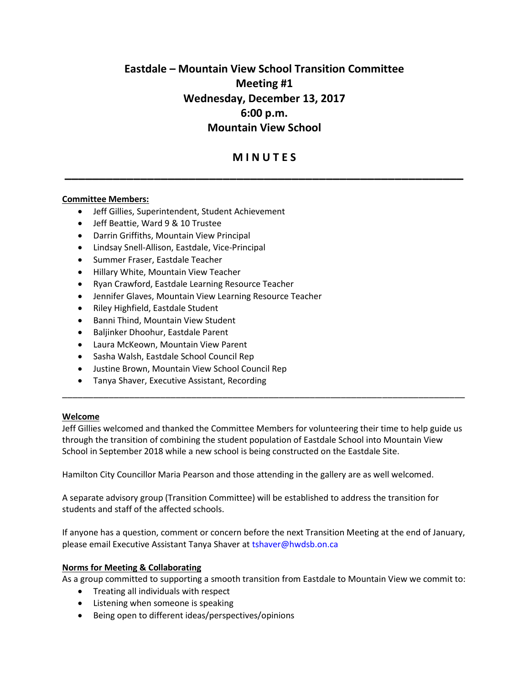# **Eastdale – Mountain View School Transition Committee Meeting #1 Wednesday, December 13, 2017 6:00 p.m. Mountain View School**

# **M I N U T E S**

**\_\_\_\_\_\_\_\_\_\_\_\_\_\_\_\_\_\_\_\_\_\_\_\_\_\_\_\_\_\_\_\_\_\_\_\_\_\_\_\_\_\_\_\_\_\_\_\_\_\_\_\_\_\_\_\_\_\_**

## **Committee Members:**

- Jeff Gillies, Superintendent, Student Achievement
- Jeff Beattie, Ward 9 & 10 Trustee
- Darrin Griffiths, Mountain View Principal
- Lindsay Snell-Allison, Eastdale, Vice-Principal
- Summer Fraser, Eastdale Teacher
- Hillary White, Mountain View Teacher
- Ryan Crawford, Eastdale Learning Resource Teacher
- Jennifer Glaves, Mountain View Learning Resource Teacher
- Riley Highfield, Eastdale Student
- Banni Thind, Mountain View Student
- Baljinker Dhoohur, Eastdale Parent
- Laura McKeown, Mountain View Parent
- Sasha Walsh, Eastdale School Council Rep
- Justine Brown, Mountain View School Council Rep
- Tanya Shaver, Executive Assistant, Recording

#### **Welcome**

Jeff Gillies welcomed and thanked the Committee Members for volunteering their time to help guide us through the transition of combining the student population of Eastdale School into Mountain View School in September 2018 while a new school is being constructed on the Eastdale Site.

\_\_\_\_\_\_\_\_\_\_\_\_\_\_\_\_\_\_\_\_\_\_\_\_\_\_\_\_\_\_\_\_\_\_\_\_\_\_\_\_\_\_\_\_\_\_\_\_\_\_\_\_\_\_\_\_\_\_\_\_\_\_\_\_\_\_\_\_\_\_\_\_\_\_\_\_\_\_

Hamilton City Councillor Maria Pearson and those attending in the gallery are as well welcomed.

A separate advisory group (Transition Committee) will be established to address the transition for students and staff of the affected schools.

If anyone has a question, comment or concern before the next Transition Meeting at the end of January, please email Executive Assistant Tanya Shaver at tshaver@hwdsb.on.ca

#### **Norms for Meeting & Collaborating**

As a group committed to supporting a smooth transition from Eastdale to Mountain View we commit to:

- Treating all individuals with respect
- Listening when someone is speaking
- Being open to different ideas/perspectives/opinions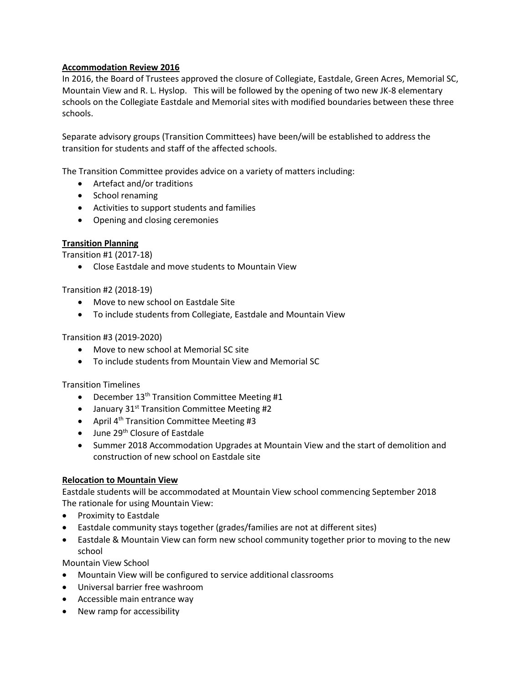## **Accommodation Review 2016**

In 2016, the Board of Trustees approved the closure of Collegiate, Eastdale, Green Acres, Memorial SC, Mountain View and R. L. Hyslop. This will be followed by the opening of two new JK-8 elementary schools on the Collegiate Eastdale and Memorial sites with modified boundaries between these three schools.

Separate advisory groups (Transition Committees) have been/will be established to address the transition for students and staff of the affected schools.

The Transition Committee provides advice on a variety of matters including:

- Artefact and/or traditions
- School renaming
- Activities to support students and families
- Opening and closing ceremonies

#### **Transition Planning**

Transition #1 (2017-18)

• Close Eastdale and move students to Mountain View

Transition #2 (2018-19)

- Move to new school on Eastdale Site
- To include students from Collegiate, Eastdale and Mountain View

#### Transition #3 (2019-2020)

- Move to new school at Memorial SC site
- To include students from Mountain View and Memorial SC

Transition Timelines

- December  $13<sup>th</sup>$  Transition Committee Meeting #1
- January  $31<sup>st</sup>$  Transition Committee Meeting #2
- April  $4<sup>th</sup>$  Transition Committee Meeting #3
- $\bullet$  June 29<sup>th</sup> Closure of Eastdale
- Summer 2018 Accommodation Upgrades at Mountain View and the start of demolition and construction of new school on Eastdale site

#### **Relocation to Mountain View**

Eastdale students will be accommodated at Mountain View school commencing September 2018 The rationale for using Mountain View:

- Proximity to Eastdale
- Eastdale community stays together (grades/families are not at different sites)
- Eastdale & Mountain View can form new school community together prior to moving to the new school

Mountain View School

- Mountain View will be configured to service additional classrooms
- Universal barrier free washroom
- Accessible main entrance way
- New ramp for accessibility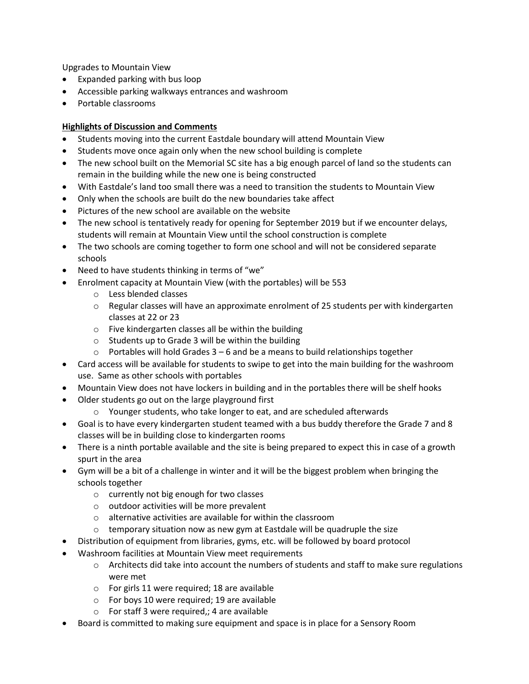Upgrades to Mountain View

- Expanded parking with bus loop
- Accessible parking walkways entrances and washroom
- Portable classrooms

#### **Highlights of Discussion and Comments**

- Students moving into the current Eastdale boundary will attend Mountain View
- Students move once again only when the new school building is complete
- The new school built on the Memorial SC site has a big enough parcel of land so the students can remain in the building while the new one is being constructed
- With Eastdale's land too small there was a need to transition the students to Mountain View
- Only when the schools are built do the new boundaries take affect
- Pictures of the new school are available on the website
- The new school is tentatively ready for opening for September 2019 but if we encounter delays, students will remain at Mountain View until the school construction is complete
- The two schools are coming together to form one school and will not be considered separate schools
- Need to have students thinking in terms of "we"
- Enrolment capacity at Mountain View (with the portables) will be 553
	- o Less blended classes
	- $\circ$  Regular classes will have an approximate enrolment of 25 students per with kindergarten classes at 22 or 23
	- o Five kindergarten classes all be within the building
	- o Students up to Grade 3 will be within the building
	- $\circ$  Portables will hold Grades 3 6 and be a means to build relationships together
- Card access will be available for students to swipe to get into the main building for the washroom use. Same as other schools with portables
- Mountain View does not have lockers in building and in the portables there will be shelf hooks
- Older students go out on the large playground first
	- o Younger students, who take longer to eat, and are scheduled afterwards
- Goal is to have every kindergarten student teamed with a bus buddy therefore the Grade 7 and 8 classes will be in building close to kindergarten rooms
- There is a ninth portable available and the site is being prepared to expect this in case of a growth spurt in the area
- Gym will be a bit of a challenge in winter and it will be the biggest problem when bringing the schools together
	- o currently not big enough for two classes
	- $\circ$  outdoor activities will be more prevalent
	- o alternative activities are available for within the classroom
	- $\circ$  temporary situation now as new gym at Eastdale will be quadruple the size
- Distribution of equipment from libraries, gyms, etc. will be followed by board protocol
- Washroom facilities at Mountain View meet requirements
	- $\circ$  Architects did take into account the numbers of students and staff to make sure regulations were met
	- o For girls 11 were required; 18 are available
	- o For boys 10 were required; 19 are available
	- $\circ$  For staff 3 were required,; 4 are available
- Board is committed to making sure equipment and space is in place for a Sensory Room